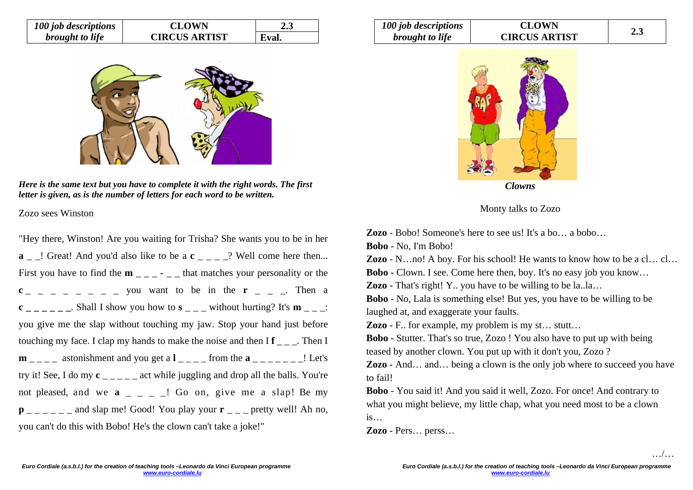| 100 job descriptions   | <b>CLOWN</b>         | 2.J   |  |
|------------------------|----------------------|-------|--|
| <i>brought to life</i> | <b>CIRCUS ARTIST</b> | Eval. |  |



*Here is the same text but you have to complete it with the right words. The first letter is given, as is the number of letters for each word to be written.* 

Zozo sees Winston

"Hey there, Winston! Are you waiting for Trisha? She wants you to be in her **a** \_ \_! Great! And you'd also like to be a **c** \_ \_ \_ \_? Well come here then... First you have to find the  $\mathbf{m}$   $_{\text{max}}$  -  $_{\text{max}}$  that matches your personality or the  $c_{-}$   $-$  you want to be in the **r**  $-$ . Then a **c**  $\frac{\text{c}}{\text{c}}$  \_ \_ \_ \_ \_ Shall I show you how to **s** \_ \_ \_ without hurting? It's **m** \_ \_ \_: you give me the slap without touching my jaw. Stop your hand just before touching my face. I clap my hands to make the noise and then  $If \_\_$ . Then I  $m_{-}$  astonishment and you get a  $l_{-}$   $=$   $-$  from the  $a_{-}$   $=$   $\leq$   $\leq$   $\leq$   $\leq$   $\leq$ try it! See, I do my **<sup>c</sup>** \_ \_ \_ \_ \_ act while juggling and drop all the balls. You're not pleased, and we  $a \_ - \_$ ! Go on, give me a slap! Be my  $p_{\text{max}} = p_{\text{max}} = p_{\text{max}}$  and slap me! Good! You play your  $r_{\text{max}} = p_{\text{max}}$  pretty well! Ah no, you can't do this with Bobo! He's the clown can't take a joke!"

| 100 job descriptions   | <b>CLOWN</b>         |     |
|------------------------|----------------------|-----|
| <i>brought to life</i> | <b>CIRCUS ARTIST</b> | 2.3 |



Monty talks to Zozo

**Zozo** - Bobo! Someone's here to see us! It's a bo… a bobo…

**Bobo** - No, I'm Bobo!

**Zozo** - N…no! A boy. For his school! He wants to know how to be a cl… cl…

**Bobo** - Clown. I see. Come here then, boy. It's no easy job you know…

**Zozo** - That's right! Y.. you have to be willing to be la..la…

**Bobo** - No, Lala is something else! But yes, you have to be willing to be laughed at, and exaggerate your faults.

**Zozo** - F.. for example, my problem is my st… stutt…

**Bobo** - Stutter. That's so true, Zozo ! You also have to put up with being teased by another clown. You put up with it don't you, Zozo ?

**Zozo** - And... and... being a clown is the only job where to succeed you have to fail!

**Bobo** - You said it! And you said it well, Zozo. For once! And contrary to what you might believe, my little chap, what you need most to be a clown is…

**Zozo** - Pers… perss…

…/…